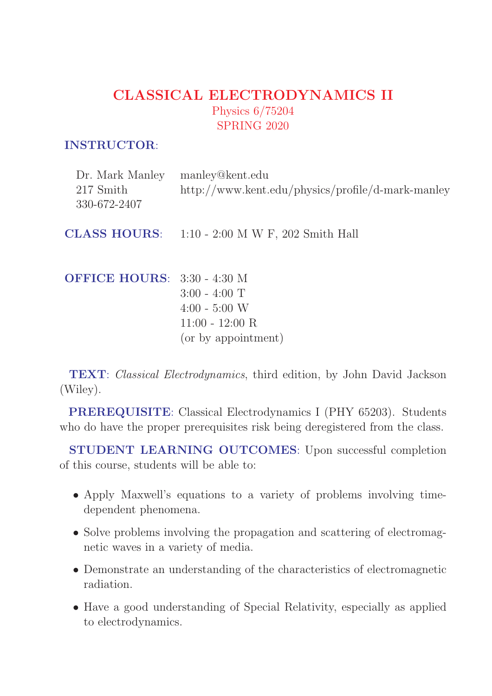## CLASSICAL ELECTRODYNAMICS II Physics 6/75204 SPRING 2020

#### INSTRUCTOR:

| Dr. Mark Manley<br>217 Smith<br>330-672-2407 | manley@kent.edu<br>http://www.kent.edu/physics/profile/d-mark-manley                       |
|----------------------------------------------|--------------------------------------------------------------------------------------------|
|                                              | <b>CLASS HOURS:</b> 1:10 - 2:00 M W F, 202 Smith Hall                                      |
| <b>OFFICE HOURS: 3:30 - 4:30 M</b>           | $3:00 - 4:00$ T<br>$4:00 - 5:00$ W<br>$11:00 - 12:00 \; \mathrm{R}$<br>(or by appointment) |

TEXT: Classical Electrodynamics, third edition, by John David Jackson (Wiley).

PREREQUISITE: Classical Electrodynamics I (PHY 65203). Students who do have the proper prerequisites risk being deregistered from the class.

STUDENT LEARNING OUTCOMES: Upon successful completion of this course, students will be able to:

- Apply Maxwell's equations to a variety of problems involving timedependent phenomena.
- Solve problems involving the propagation and scattering of electromagnetic waves in a variety of media.
- Demonstrate an understanding of the characteristics of electromagnetic radiation.
- Have a good understanding of Special Relativity, especially as applied to electrodynamics.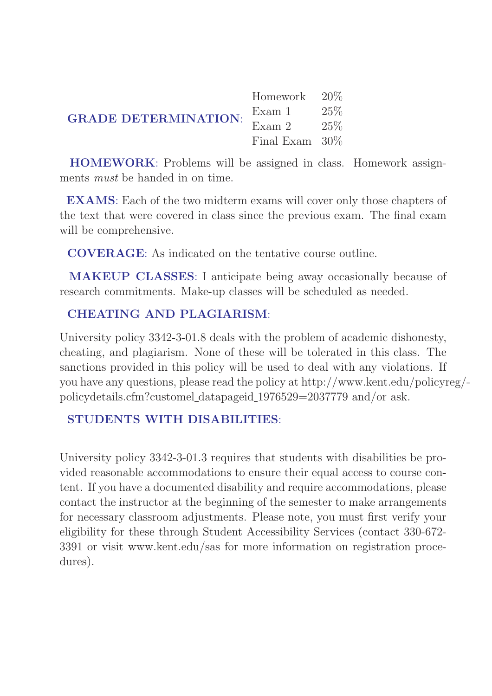|                                                                         | Homework 20\%     |  |
|-------------------------------------------------------------------------|-------------------|--|
| <b>GRADE DETERMINATION:</b> $\frac{Exam}{Exam} \cdot \frac{25\%}{25\%}$ |                   |  |
|                                                                         |                   |  |
|                                                                         | Final Exam $30\%$ |  |

HOMEWORK: Problems will be assigned in class. Homework assignments must be handed in on time.

EXAMS: Each of the two midterm exams will cover only those chapters of the text that were covered in class since the previous exam. The final exam will be comprehensive.

COVERAGE: As indicated on the tentative course outline.

MAKEUP CLASSES: I anticipate being away occasionally because of research commitments. Make-up classes will be scheduled as needed.

#### CHEATING AND PLAGIARISM:

University policy 3342-3-01.8 deals with the problem of academic dishonesty, cheating, and plagiarism. None of these will be tolerated in this class. The sanctions provided in this policy will be used to deal with any violations. If you have any questions, please read the policy at http://www.kent.edu/policyreg/ policydetails.cfm?customel datapageid 1976529=2037779 and/or ask.

#### STUDENTS WITH DISABILITIES:

University policy 3342-3-01.3 requires that students with disabilities be provided reasonable accommodations to ensure their equal access to course content. If you have a documented disability and require accommodations, please contact the instructor at the beginning of the semester to make arrangements for necessary classroom adjustments. Please note, you must first verify your eligibility for these through Student Accessibility Services (contact 330-672- 3391 or visit www.kent.edu/sas for more information on registration procedures).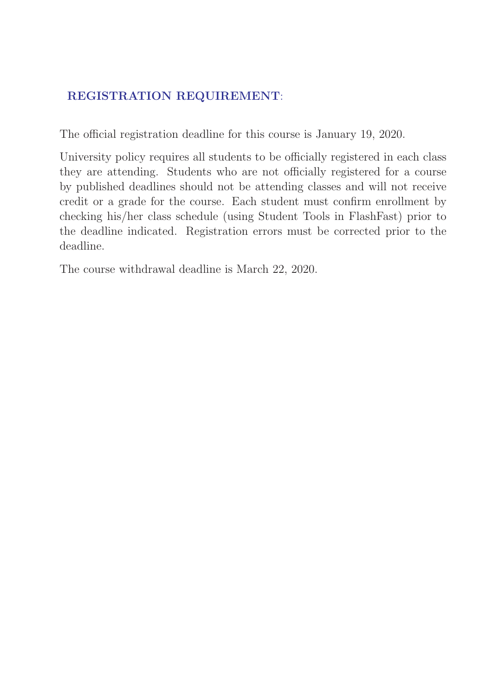### REGISTRATION REQUIREMENT:

The official registration deadline for this course is January 19, 2020.

University policy requires all students to be officially registered in each class they are attending. Students who are not officially registered for a course by published deadlines should not be attending classes and will not receive credit or a grade for the course. Each student must confirm enrollment by checking his/her class schedule (using Student Tools in FlashFast) prior to the deadline indicated. Registration errors must be corrected prior to the deadline.

The course withdrawal deadline is March 22, 2020.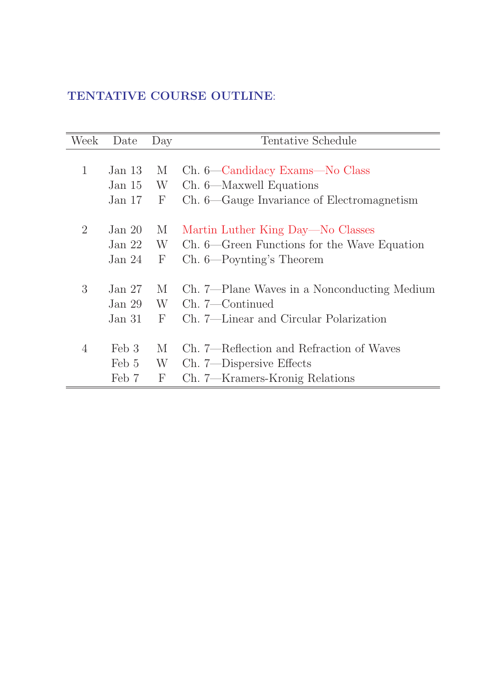### TENTATIVE COURSE OUTLINE:

| Week           | Date     | Day          | Tentative Schedule                          |
|----------------|----------|--------------|---------------------------------------------|
|                |          |              |                                             |
| $\mathbf{1}$   | Jan $13$ | M            | Ch. 6—Candidacy Exams—No Class              |
|                | Jan $15$ | W            | Ch. 6—Maxwell Equations                     |
|                | Jan $17$ | $\mathbf{F}$ | Ch. 6—Gauge Invariance of Electromagnetism  |
| 2              | Jan $20$ | M            | Martin Luther King Day—No Classes           |
|                | Jan $22$ | W            | Ch. 6—Green Functions for the Wave Equation |
|                | Jan $24$ | $\mathbf{F}$ | Ch. 6—Poynting's Theorem                    |
| 3              | Jan 27   | M            | Ch. 7—Plane Waves in a Nonconducting Medium |
|                | Jan $29$ | W            | Ch. 7—Continued                             |
|                | Jan 31   | $\mathbf{F}$ | Ch. 7—Linear and Circular Polarization      |
| $\overline{4}$ | Feb 3    | M            | Ch. 7—Reflection and Refraction of Waves    |
|                | Feb 5    | W            | Ch. 7—Dispersive Effects                    |
|                | Feb 7    | $\mathbf{F}$ | Ch. 7—Kramers-Kronig Relations              |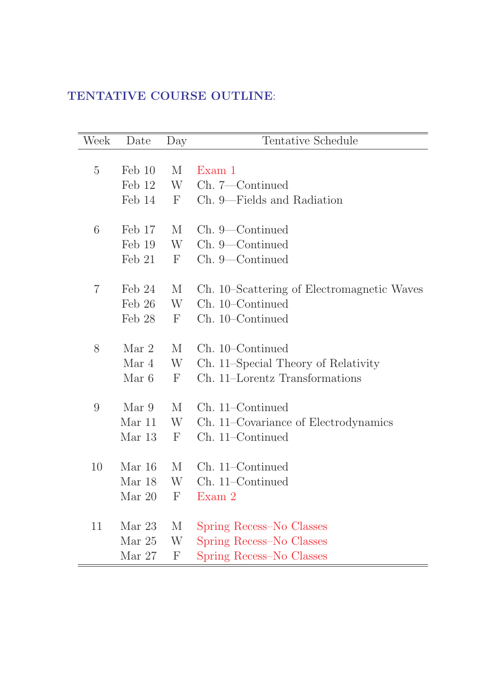### TENTATIVE COURSE OUTLINE:

| Week           | Date             | Day          | Tentative Schedule                         |
|----------------|------------------|--------------|--------------------------------------------|
|                |                  |              |                                            |
| $\overline{5}$ | $\text{Feb} 10$  | M            | Exam 1                                     |
|                | Feb 12           | W            | Ch. 7—Continued                            |
|                | Feb 14           | $\mathbf F$  | Ch. 9—Fields and Radiation                 |
|                |                  |              |                                            |
| 6              | Feb 17           | M            | Ch. 9—Continued                            |
|                | Feb 19           | W            | Ch. 9—Continued                            |
|                | $\text{Feb } 21$ | $\mathbf F$  | Ch. 9—Continued                            |
|                |                  |              |                                            |
| 7              | Feb 24           | $\rm M$      | Ch. 10–Scattering of Electromagnetic Waves |
|                | $\text{Feb} 26$  | W            | Ch. 10–Continued                           |
|                | Feb 28           | $\mathbf{F}$ | Ch. 10–Continued                           |
| 8              | Mar <sub>2</sub> | M            | Ch. 10–Continued                           |
|                | Mar 4            | W            | Ch. 11–Special Theory of Relativity        |
|                | Mar 6            | $\mathbf F$  | Ch. 11–Lorentz Transformations             |
|                |                  |              |                                            |
| 9              | Mar 9            | M            | Ch. 11–Continued                           |
|                | Mar 11           | W            | Ch. 11–Covariance of Electrodynamics       |
|                | Mar 13           | $\mathbf{F}$ | Ch. 11–Continued                           |
|                |                  |              |                                            |
| 10             | Mar 16           | M            | Ch. 11–Continued                           |
|                | Mar 18           | W            | Ch. 11–Continued                           |
|                | Mar 20           | F            | Exam 2                                     |
| 11             | Mar 23           | М            | Spring Recess–No Classes                   |
|                | Mar 25           | W            | Spring Recess–No Classes                   |
|                | Mar 27           | $\mathbf{F}$ | Spring Recess–No Classes                   |
|                |                  |              |                                            |